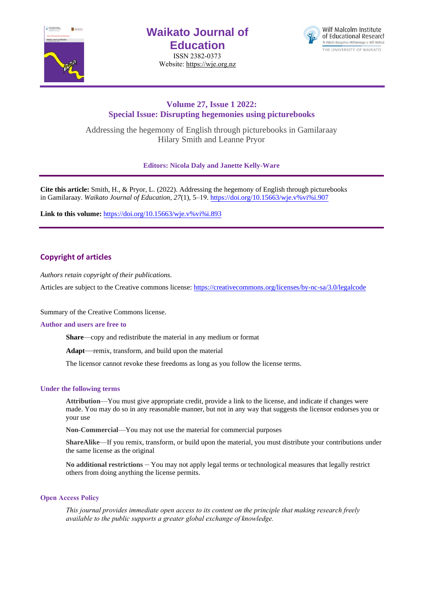

# **Waikato Journal of Education**

ISSN 2382-0373 Website[: https://wje.org.nz](https://wje.org.nz/)



# **Volume 27, Issue 1 2022: Special Issue: Disrupting hegemonies using picturebooks**

Addressing the hegemony of English through picturebooks in Gamilaraay Hilary Smith and Leanne Pryor

**Editors: Nicola Daly and Janette Kelly-Ware**

**Cite this article:** Smith, H., & Pryor, L. (2022). Addressing the hegemony of English through picturebooks in Gamilaraay. *Waikato Journal of Education, 27*(1), 5–19[. https://doi.org/10.15663/wje.v%vi%i.90](https://doi.org/10.15663/wje.v%25vi%25i.907)7

**Link to this volume:** [https://doi.org/10.15663/wje.v%vi%i.893](https://doi.org/10.15663/wje.v%25vi%25i.893)

# **Copyright of articles**

*Authors retain copyright of their publications.*

Articles are subject to the Creative commons license: https://creativecommons.org/licenses/by-nc-sa/3.0/legalcode

Summary of the Creative Commons license.

#### **Author and users are free to**

**Share**—copy and redistribute the material in any medium or format

**Adapt**—remix, transform, and build upon the material

The licensor cannot revoke these freedoms as long as you follow the license terms.

#### **Under the following terms**

**Attribution**—You must give appropriate credit, provide a link to the license, and indicate if changes were made. You may do so in any reasonable manner, but not in any way that suggests the licensor endorses you or your use

**Non-Commercial**—You may not use the material for commercial purposes

**ShareAlike**—If you remix, transform, or build upon the material, you must distribute your contributions under the same license as the original

**No additional restrictions** – You may not apply legal terms or technological measures that legally restrict others from doing anything the license permits.

#### **Open Access Policy**

*This journal provides immediate open access to its content on the principle that making research freely available to the public supports a greater global exchange of knowledge.*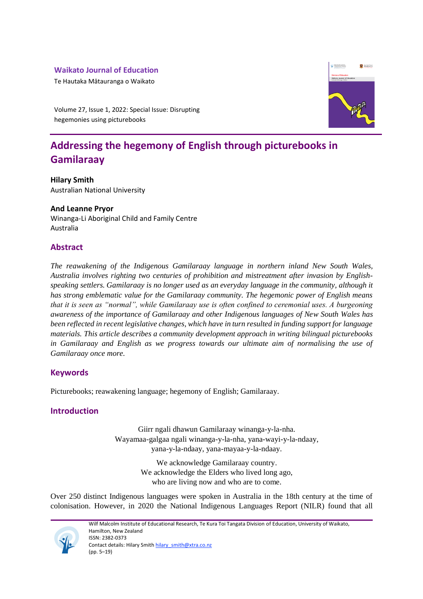# **Waikato Journal of Education**

Te Hautaka Mātauranga o Waikato

**Q** WAIKATO

Volume 27, Issue 1, 2022: Special Issue: Disrupting hegemonies using picturebooks

# **Addressing the hegemony of English through picturebooks in Gamilaraay**

**Hilary Smith**  Australian National University

# **And Leanne Pryor**

Winanga-Li Aboriginal Child and Family Centre Australia

# **Abstract**

*The reawakening of the Indigenous Gamilaraay language in northern inland New South Wales, Australia involves righting two centuries of prohibition and mistreatment after invasion by Englishspeaking settlers. Gamilaraay is no longer used as an everyday language in the community, although it has strong emblematic value for the Gamilaraay community. The hegemonic power of English means that it is seen as "normal", while Gamilaraay use is often confined to ceremonial uses. A burgeoning awareness of the importance of Gamilaraay and other Indigenous languages of New South Wales has been reflected in recent legislative changes, which have in turn resulted in funding support for language materials. This article describes a community development approach in writing bilingual picturebooks in Gamilaraay and English as we progress towards our ultimate aim of normalising the use of Gamilaraay once more.*

# **Keywords**

Picturebooks; reawakening language; hegemony of English; Gamilaraay.

# **Introduction**

Giirr ngali dhawun Gamilaraay winanga-y-la-nha. Wayamaa-galgaa ngali winanga-y-la-nha, yana-wayi-y-la-ndaay, yana-y-la-ndaay, yana-mayaa-y-la-ndaay.

> We acknowledge Gamilaraay country. We acknowledge the Elders who lived long ago, who are living now and who are to come.

Over 250 distinct Indigenous languages were spoken in Australia in the 18th century at the time of colonisation. However, in 2020 the National Indigenous Languages Report (NILR) found that all



Wilf Malcolm Institute of Educational Research, Te Kura Toi Tangata Division of Education, University of Waikato, Hamilton, New Zealand ISSN: 2382-0373 Contact details: Hilary Smith hilary smith@xtra.co.nz (pp. 5–19)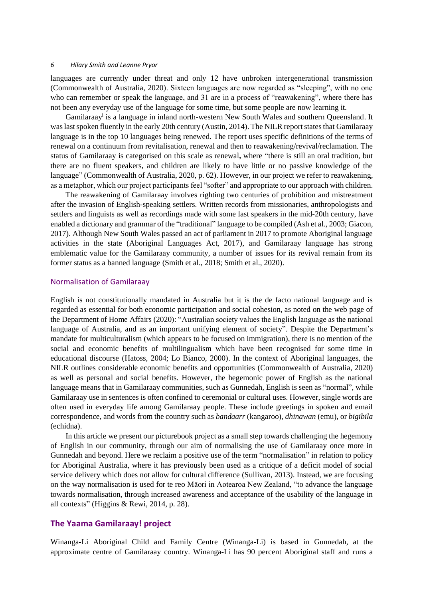languages are currently under threat and only 12 have unbroken intergenerational transmission (Commonwealth of Australia, 2020). Sixteen languages are now regarded as "sleeping", with no one who can remember or speak the language, and 31 are in a process of "reawakening", where there has not been any everyday use of the language for some time, but some people are now learning it.

Gamilaraay<sup>i</sup> is a language in inland north-western New South Wales and southern Queensland. It was last spoken fluently in the early 20th century (Austin, 2014). The NILR report states that Gamilaraay language is in the top 10 languages being renewed. The report uses specific definitions of the terms of renewal on a continuum from revitalisation, renewal and then to reawakening/revival/reclamation. The status of Gamilaraay is categorised on this scale as renewal**,** where "there is still an oral tradition, but there are no fluent speakers, and children are likely to have little or no passive knowledge of the language" (Commonwealth of Australia, 2020, p. 62). However, in our project we refer to reawakening, as a metaphor, which our project participants feel "softer" and appropriate to our approach with children.

The reawakening of Gamilaraay involves righting two centuries of prohibition and mistreatment after the invasion of English-speaking settlers. Written records from missionaries, anthropologists and settlers and linguists as well as recordings made with some last speakers in the mid-20th century, have enabled a dictionary and grammar of the "traditional" language to be compiled (Ash et al., 2003; Giacon, 2017). Although New South Wales passed an act of parliament in 2017 to promote Aboriginal language activities in the state (Aboriginal Languages Act, 2017), and Gamilaraay language has strong emblematic value for the Gamilaraay community, a number of issues for its revival remain from its former status as a banned language (Smith et al., 2018; Smith et al., 2020).

#### Normalisation of Gamilaraay

English is not constitutionally mandated in Australia but it is the de facto national language and is regarded as essential for both economic participation and social cohesion, as noted on the web page of the Department of Home Affairs (2020): "Australian society values the English language as the national language of Australia, and as an important unifying element of society". Despite the Department's mandate for multiculturalism (which appears to be focused on immigration), there is no mention of the social and economic benefits of multilingualism which have been recognised for some time in educational discourse (Hatoss, 2004; Lo Bianco, 2000). In the context of Aboriginal languages, the NILR outlines considerable economic benefits and opportunities (Commonwealth of Australia, 2020) as well as personal and social benefits. However, the hegemonic power of English as the national language means that in Gamilaraay communities, such as Gunnedah, English is seen as "normal", while Gamilaraay use in sentences is often confined to ceremonial or cultural uses. However, single words are often used in everyday life among Gamilaraay people. These include greetings in spoken and email correspondence, and words from the country such as *bandaarr* (kangaroo), *dhinawan* (emu), or *bigibila* (echidna).

In this article we present our picturebook project as a small step towards challenging the hegemony of English in our community, through our aim of normalising the use of Gamilaraay once more in Gunnedah and beyond. Here we reclaim a positive use of the term "normalisation" in relation to policy for Aboriginal Australia, where it has previously been used as a critique of a deficit model of social service delivery which does not allow for cultural difference (Sullivan, 2013). Instead, we are focusing on the way normalisation is used for te reo Māori in Aotearoa New Zealand, "to advance the language towards normalisation, through increased awareness and acceptance of the usability of the language in all contexts" (Higgins & Rewi, 2014, p. 28).

#### **The Yaama Gamilaraay! project**

Winanga-Li Aboriginal Child and Family Centre (Winanga-Li) is based in Gunnedah, at the approximate centre of Gamilaraay country. Winanga-Li has 90 percent Aboriginal staff and runs a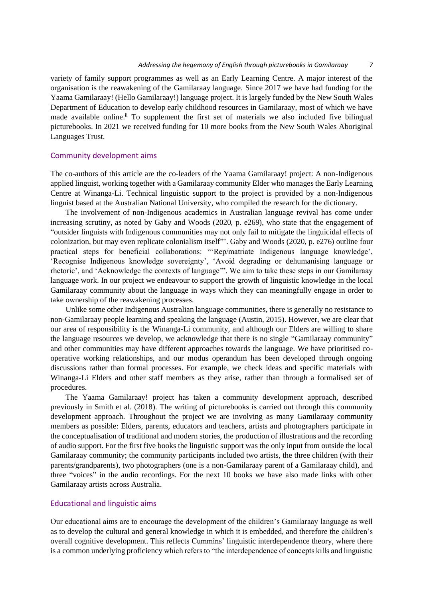variety of family support programmes as well as an Early Learning Centre. A major interest of the organisation is the reawakening of the Gamilaraay language. Since 2017 we have had funding for the Yaama Gamilaraay! (Hello Gamilaraay!) language project. It is largely funded by the New South Wales Department of Education to develop early childhood resources in Gamilaraay, most of which we have made available online.<sup>ii</sup> To supplement the first set of materials we also included five bilingual picturebooks. In 2021 we received funding for 10 more books from the New South Wales Aboriginal Languages Trust.

#### Community development aims

The co-authors of this article are the co-leaders of the Yaama Gamilaraay! project: A non-Indigenous applied linguist, working together with a Gamilaraay community Elder who manages the Early Learning Centre at Winanga-Li. Technical linguistic support to the project is provided by a non-Indigenous linguist based at the Australian National University, who compiled the research for the dictionary.

The involvement of non-Indigenous academics in Australian language revival has come under increasing scrutiny, as noted by Gaby and Woods (2020, p. e269), who state that the engagement of "outsider linguists with Indigenous communities may not only fail to mitigate the linguicidal effects of colonization, but may even replicate colonialism itself"'. Gaby and Woods (2020, p. e276) outline four practical steps for beneficial collaborations: "'Rep/matriate Indigenous language knowledge', 'Recognise Indigenous knowledge sovereignty', 'Avoid degrading or dehumanising language or rhetoric', and 'Acknowledge the contexts of language'". We aim to take these steps in our Gamilaraay language work. In our project we endeavour to support the growth of linguistic knowledge in the local Gamilaraay community about the language in ways which they can meaningfully engage in order to take ownership of the reawakening processes.

Unlike some other Indigenous Australian language communities, there is generally no resistance to non-Gamilaraay people learning and speaking the language (Austin, 2015). However, we are clear that our area of responsibility is the Winanga-Li community, and although our Elders are willing to share the language resources we develop, we acknowledge that there is no single "Gamilaraay community" and other communities may have different approaches towards the language. We have prioritised cooperative working relationships, and our modus operandum has been developed through ongoing discussions rather than formal processes. For example, we check ideas and specific materials with Winanga-Li Elders and other staff members as they arise, rather than through a formalised set of procedures.

The Yaama Gamilaraay! project has taken a community development approach, described previously in Smith et al. (2018). The writing of picturebooks is carried out through this community development approach. Throughout the project we are involving as many Gamilaraay community members as possible: Elders, parents, educators and teachers, artists and photographers participate in the conceptualisation of traditional and modern stories, the production of illustrations and the recording of audio support. For the first five books the linguistic support was the only input from outside the local Gamilaraay community; the community participants included two artists, the three children (with their parents/grandparents), two photographers (one is a non-Gamilaraay parent of a Gamilaraay child), and three "voices" in the audio recordings. For the next 10 books we have also made links with other Gamilaraay artists across Australia.

### Educational and linguistic aims

Our educational aims are to encourage the development of the children's Gamilaraay language as well as to develop the cultural and general knowledge in which it is embedded, and therefore the children's overall cognitive development. This reflects Cummins' linguistic interdependence theory, where there is a common underlying proficiency which refers to "the interdependence of concepts kills and linguistic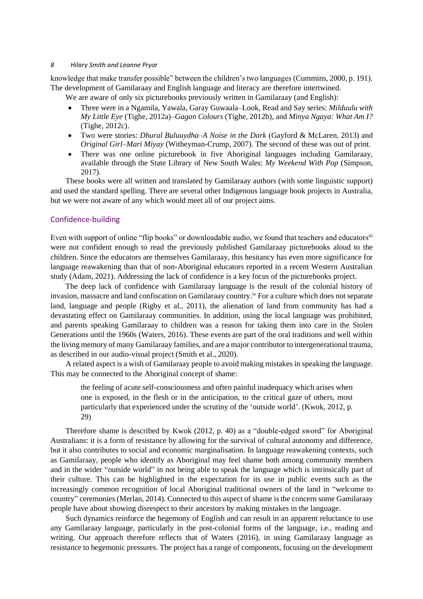knowledge that make transfer possible" between the children's two languages (Cummins, 2000, p. 191). The development of Gamilaraay and English language and literacy are therefore intertwined.

We are aware of only six picturebooks previously written in Gamilaraay (and English):

- Three were in a Ngamila, Yawala, Garay Guwaala–Look, Read and Say series: *Milduulu with My Little Eye* (Tighe, 2012a)–*Gagan Colours* (Tighe, 2012b), and *Minya Ngaya: What Am I?* (Tighe, 2012c).
- Two were stories: *Dhural Buluuydha–A Noise in the Dark* (Gayford & McLaren, 2013) and *Original Girl–Mari Miyay* (Witheyman-Crump, 2007). The second of these was out of print.
- There was one online picturebook in five Aboriginal languages including Gamilaraay, available through the State Library of New South Wales: *My Weekend With Pop* (Simpson, 2017).

These books were all written and translated by Gamilaraay authors (with some linguistic support) and used the standard spelling. There are several other Indigenous language book projects in Australia, but we were not aware of any which would meet all of our project aims.

#### Confidence-building

Even with support of online "flip books" or downloadable audio, we found that teachers and educators<sup>iii</sup> were not confident enough to read the previously published Gamilaraay picturebooks aloud to the children. Since the educators are themselves Gamilaraay, this hesitancy has even more significance for language reawakening than that of non-Aboriginal educators reported in a recent Western Australian study (Adam, 2021). Addressing the lack of confidence is a key focus of the picturebooks project.

The deep lack of confidence with Gamilaraay language is the result of the colonial history of invasion, massacre and land confiscation on Gamilaraay country.<sup>iv</sup> For a culture which does not separate land, language and people (Rigby et al., 2011), the alienation of land from community has had a devastating effect on Gamilaraay communities. In addition, using the local language was prohibited, and parents speaking Gamilaraay to children was a reason for taking them into care in the Stolen Generations until the 1960s (Waters, 2016). These events are part of the oral traditions and well within the living memory of many Gamilaraay families, and are a major contributor to intergenerational trauma, as described in our audio-visual project (Smith et al., 2020).

A related aspect is a wish of Gamilaraay people to avoid making mistakes in speaking the language. This may be connected to the Aboriginal concept of shame:

the feeling of acute self-consciousness and often painful inadequacy which arises when one is exposed, in the flesh or in the anticipation, to the critical gaze of others, most particularly that experienced under the scrutiny of the 'outside world'. (Kwok, 2012, p. 29)

Therefore shame is described by Kwok (2012, p. 40) as a "double-edged sword" for Aboriginal Australians: it is a form of resistance by allowing for the survival of cultural autonomy and difference, but it also contributes to social and economic marginalisation. In language reawakening contexts, such as Gamilaraay, people who identify as Aboriginal may feel shame both among community members and in the wider "outside world" in not being able to speak the language which is intrinsically part of their culture. This can be highlighted in the expectation for its use in public events such as the increasingly common recognition of local Aboriginal traditional owners of the land in "welcome to country" ceremonies (Merlan, 2014). Connected to this aspect of shame is the concern some Gamilaraay people have about showing disrespect to their ancestors by making mistakes in the language.

Such dynamics reinforce the hegemony of English and can result in an apparent reluctance to use any Gamilaraay language, particularly in the post-colonial forms of the language, i.e., reading and writing. Our approach therefore reflects that of Waters (2016), in using Gamilaraay language as resistance to hegemonic pressures. The project has a range of components, focusing on the development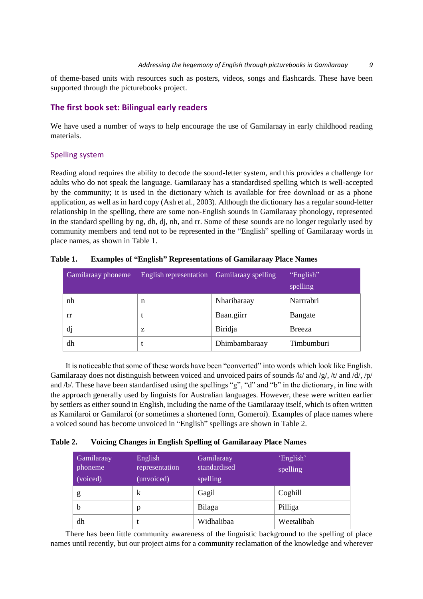of theme-based units with resources such as posters, videos, songs and flashcards. These have been supported through the picturebooks project.

## **The first book set: Bilingual early readers**

We have used a number of ways to help encourage the use of Gamilaraay in early childhood reading materials.

### Spelling system

Reading aloud requires the ability to decode the sound-letter system, and this provides a challenge for adults who do not speak the language. Gamilaraay has a standardised spelling which is well-accepted by the community; it is used in the dictionary which is available for free download or as a phone application, as well as in hard copy (Ash et al., 2003). Although the dictionary has a regular sound-letter relationship in the spelling, there are some non-English sounds in Gamilaraay phonology, represented in the standard spelling by ng, dh, dj, nh, and rr. Some of these sounds are no longer regularly used by community members and tend not to be represented in the "English" spelling of Gamilaraay words in place names, as shown in Table 1.

| Gamilaraay phoneme | English representation Gamilaraay spelling |               | "English"<br>spelling |
|--------------------|--------------------------------------------|---------------|-----------------------|
| nh                 | n                                          | Nharibaraay   | Narrrabri             |
| rr                 | t                                          | Baan.giirr    | Bangate               |
| dj                 | Z                                          | Biridja       | <b>Breeza</b>         |
| dh                 |                                            | Dhimbambaraay | Timbumburi            |

**Table 1. Examples of "English" Representations of Gamilaraay Place Names**

It is noticeable that some of these words have been "converted" into words which look like English. Gamilaraay does not distinguish between voiced and unvoiced pairs of sounds /k/ and /g/, /t/ and /d/, /p/ and /b/. These have been standardised using the spellings "g", "d" and "b" in the dictionary, in line with the approach generally used by linguists for Australian languages. However, these were written earlier by settlers as either sound in English, including the name of the Gamilaraay itself, which is often written as Kamilaroi or Gamilaroi (or sometimes a shortened form, Gomeroi). Examples of place names where a voiced sound has become unvoiced in "English" spellings are shown in Table 2.

| Table 2. |  |  |  | <b>Voicing Changes in English Spelling of Gamilaraay Place Names</b> |  |
|----------|--|--|--|----------------------------------------------------------------------|--|
|----------|--|--|--|----------------------------------------------------------------------|--|

| Gamilaraay<br>phoneme<br>(voiced) | English<br>representation<br>(unvoiced) | Gamilaraay<br>standardised<br>spelling | 'English'<br>spelling |
|-----------------------------------|-----------------------------------------|----------------------------------------|-----------------------|
| g                                 | k                                       | Gagil                                  | Coghill               |
| b                                 | p                                       | Bilaga                                 | Pilliga               |
| dh                                |                                         | Widhalibaa                             | Weetalibah            |

There has been little community awareness of the linguistic background to the spelling of place names until recently, but our project aims for a community reclamation of the knowledge and wherever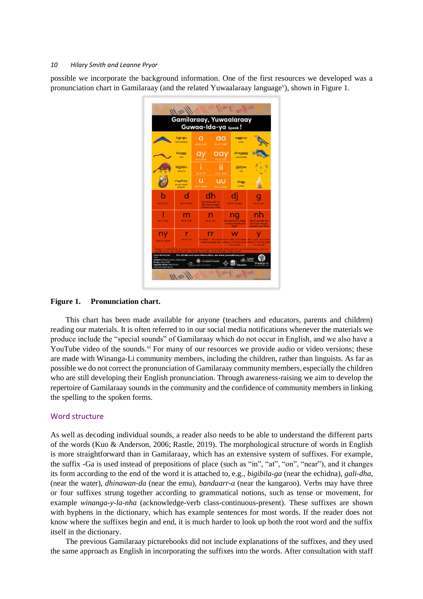possible we incorporate the background information. One of the first resources we developed was a pronunciation chart in Gamilaraay (and the related Yuwaalaraay language<sup>v</sup>), shown in Figure 1.



#### **Figure 1. Pronunciation chart.**

This chart has been made available for anyone (teachers and educators, parents and children) reading our materials. It is often referred to in our social media notifications whenever the materials we produce include the "special sounds" of Gamilaraay which do not occur in English, and we also have a YouTube video of the sounds.<sup>vi</sup> For many of our resources we provide audio or video versions; these are made with Winanga-Li community members, including the children, rather than linguists. As far as possible we do not correct the pronunciation of Gamilaraay community members, especially the children who are still developing their English pronunciation. Through awareness-raising we aim to develop the repertoire of Gamilaraay sounds in the community and the confidence of community members in linking the spelling to the spoken forms.

#### Word structure

As well as decoding individual sounds, a reader also needs to be able to understand the different parts of the words (Kuo & Anderson, 2006; Rastle, 2019). The morphological structure of words in English is more straightforward than in Gamilaraay, which has an extensive system of suffixes. For example, the suffix -Ga is used instead of prepositions of place (such as "in", "at", "on", "near"), and it changes its form according to the end of the word it is attached to, e.g., *bigibila-ga* (near the echidna), *gali-dha*, (near the water), *dhinawan-da* (near the emu), *bandaarr-a* (near the kangaroo). Verbs may have three or four suffixes strung together according to grammatical notions, such as tense or movement, for example *winanga-y-la-nha* (acknowledge-verb class-continuous-present). These suffixes are shown with hyphens in the dictionary, which has example sentences for most words. If the reader does not know where the suffixes begin and end, it is much harder to look up both the root word and the suffix itself in the dictionary.

The previous Gamilaraay picturebooks did not include explanations of the suffixes, and they used the same approach as English in incorporating the suffixes into the words. After consultation with staff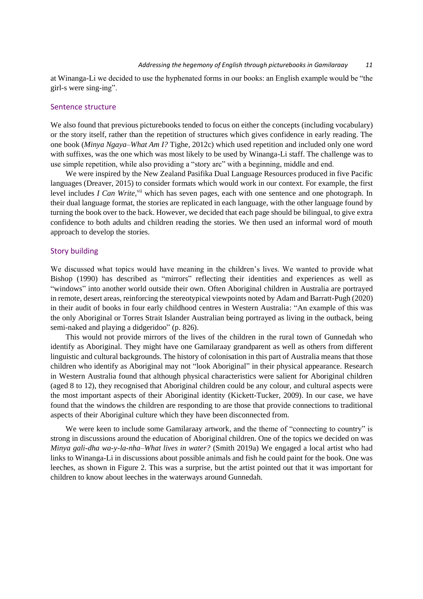at Winanga-Li we decided to use the hyphenated forms in our books: an English example would be "the girl-s were sing-ing".

### Sentence structure

We also found that previous picturebooks tended to focus on either the concepts (including vocabulary) or the story itself, rather than the repetition of structures which gives confidence in early reading. The one book (*Minya Ngaya–What Am I?* Tighe, 2012c) which used repetition and included only one word with suffixes, was the one which was most likely to be used by Winanga-Li staff. The challenge was to use simple repetition, while also providing a "story arc" with a beginning, middle and end.

We were inspired by the New Zealand Pasifika Dual Language Resources produced in five Pacific languages (Dreaver, 2015) to consider formats which would work in our context. For example, the first level includes *I Can Write*,<sup>vii</sup> which has seven pages, each with one sentence and one photograph. In their dual language format, the stories are replicated in each language, with the other language found by turning the book over to the back. However, we decided that each page should be bilingual, to give extra confidence to both adults and children reading the stories. We then used an informal word of mouth approach to develop the stories.

#### Story building

We discussed what topics would have meaning in the children's lives. We wanted to provide what Bishop (1990) has described as "mirrors" reflecting their identities and experiences as well as "windows" into another world outside their own. Often Aboriginal children in Australia are portrayed in remote, desert areas, reinforcing the stereotypical viewpoints noted by Adam and Barratt-Pugh (2020) in their audit of books in four early childhood centres in Western Australia: "An example of this was the only Aboriginal or Torres Strait Islander Australian being portrayed as living in the outback, being semi-naked and playing a didgeridoo" (p. 826).

This would not provide mirrors of the lives of the children in the rural town of Gunnedah who identify as Aboriginal. They might have one Gamilaraay grandparent as well as others from different linguistic and cultural backgrounds. The history of colonisation in this part of Australia means that those children who identify as Aboriginal may not "look Aboriginal" in their physical appearance. Research in Western Australia found that although physical characteristics were salient for Aboriginal children (aged 8 to 12), they recognised that Aboriginal children could be any colour, and cultural aspects were the most important aspects of their Aboriginal identity (Kickett-Tucker, 2009). In our case, we have found that the windows the children are responding to are those that provide connections to traditional aspects of their Aboriginal culture which they have been disconnected from.

We were keen to include some Gamilaraay artwork, and the theme of "connecting to country" is strong in discussions around the education of Aboriginal children. One of the topics we decided on was *Minya gali-dha wa-y-la-nha–What lives in water?* (Smith 2019a) We engaged a local artist who had links to Winanga-Li in discussions about possible animals and fish he could paint for the book. One was leeches, as shown in Figure 2. This was a surprise, but the artist pointed out that it was important for children to know about leeches in the waterways around Gunnedah.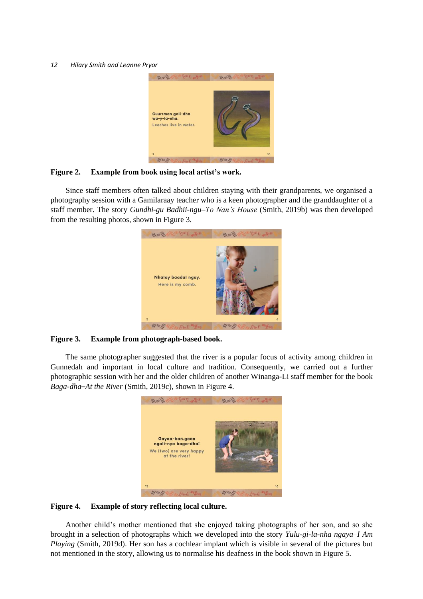

#### **Figure 2. Example from book using local artist's work.**

Since staff members often talked about children staying with their grandparents, we organised a photography session with a Gamilaraay teacher who is a keen photographer and the granddaughter of a staff member. The story *Gundhi-gu Badhii-ngu–To Nan's House* (Smith, 2019b) was then developed from the resulting photos, shown in Figure 3.



#### **Figure 3. Example from photograph-based book.**

The same photographer suggested that the river is a popular focus of activity among children in Gunnedah and important in local culture and tradition. Consequently, we carried out a further photographic session with her and the older children of another Winanga-Li staff member for the book *Baga-dha*–*At the River* (Smith, 2019c), shown in Figure 4.



### **Figure 4. Example of story reflecting local culture.**

Another child's mother mentioned that she enjoyed taking photographs of her son, and so she brought in a selection of photographs which we developed into the story *Yulu-gi-la-nha ngaya–I Am Playing* (Smith, 2019d). Her son has a cochlear implant which is visible in several of the pictures but not mentioned in the story, allowing us to normalise his deafness in the book shown in Figure 5.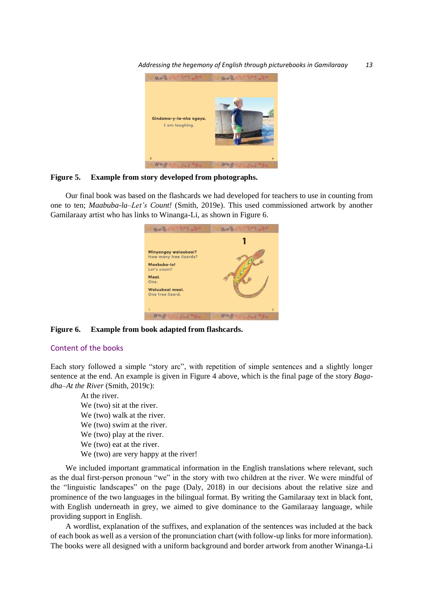*Addressing the hegemony of English through picturebooks in Gamilaraay 13*



#### **Figure 5. Example from story developed from photographs.**

Our final book was based on the flashcards we had developed for teachers to use in counting from one to ten; *Maabuba-la–Let's Count!* (Smith, 2019e). This used commissioned artwork by another Gamilaraay artist who has links to Winanga-Li, as shown in Figure 6.



**Figure 6. Example from book adapted from flashcards.**

#### Content of the books

Each story followed a simple "story arc", with repetition of simple sentences and a slightly longer sentence at the end. An example is given in Figure 4 above, which is the final page of the story *Bagadha–At the River* (Smith, 2019c):

At the river. We (two) sit at the river. We (two) walk at the river. We (two) swim at the river. We (two) play at the river. We (two) eat at the river.

We (two) are very happy at the river!

We included important grammatical information in the English translations where relevant, such as the dual first-person pronoun "we" in the story with two children at the river. We were mindful of the "linguistic landscapes" on the page (Daly, 2018) in our decisions about the relative size and prominence of the two languages in the bilingual format. By writing the Gamilaraay text in black font, with English underneath in grey, we aimed to give dominance to the Gamilaraay language, while providing support in English.

A wordlist, explanation of the suffixes, and explanation of the sentences was included at the back of each book as well as a version of the pronunciation chart (with follow-up links for more information). The books were all designed with a uniform background and border artwork from another Winanga-Li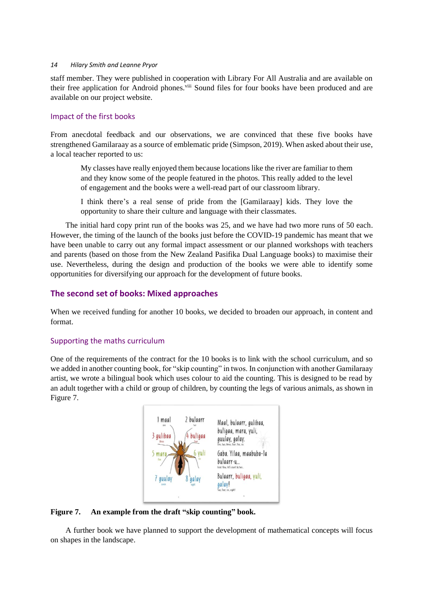staff member. They were published in cooperation with Library For All Australia and are available on their free application for Android phones.<sup>viii</sup> Sound files for four books have been produced and are available on our project website.

### Impact of the first books

From anecdotal feedback and our observations, we are convinced that these five books have strengthened Gamilaraay as a source of emblematic pride (Simpson, 2019). When asked about their use, a local teacher reported to us:

My classes have really enjoyed them because locations like the river are familiar to them and they know some of the people featured in the photos. This really added to the level of engagement and the books were a well-read part of our classroom library.

I think there's a real sense of pride from the [Gamilaraay] kids. They love the opportunity to share their culture and language with their classmates.

The initial hard copy print run of the books was 25, and we have had two more runs of 50 each. However, the timing of the launch of the books just before the COVID-19 pandemic has meant that we have been unable to carry out any formal impact assessment or our planned workshops with teachers and parents (based on those from the New Zealand Pasifika Dual Language books) to maximise their use. Nevertheless, during the design and production of the books we were able to identify some opportunities for diversifying our approach for the development of future books.

## **The second set of books: Mixed approaches**

When we received funding for another 10 books, we decided to broaden our approach, in content and format.

### Supporting the maths curriculum

One of the requirements of the contract for the 10 books is to link with the school curriculum, and so we added in another counting book, for "skip counting" in twos. In conjunction with another Gamilaraay artist, we wrote a bilingual book which uses colour to aid the counting. This is designed to be read by an adult together with a child or group of children, by counting the legs of various animals, as shown in Figure 7.



### **Figure 7. An example from the draft "skip counting" book.**

A further book we have planned to support the development of mathematical concepts will focus on shapes in the landscape.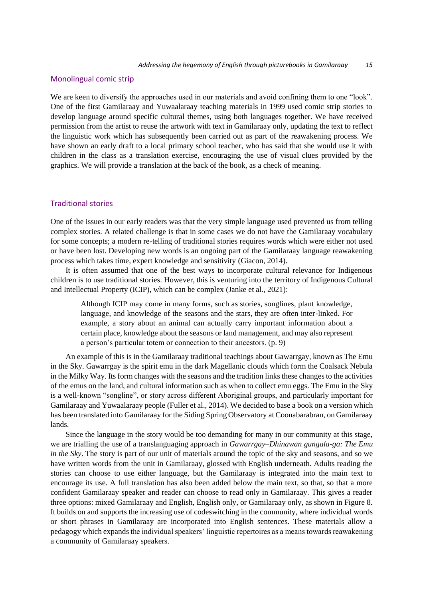#### Monolingual comic strip

We are keen to diversify the approaches used in our materials and avoid confining them to one "look". One of the first Gamilaraay and Yuwaalaraay teaching materials in 1999 used comic strip stories to develop language around specific cultural themes, using both languages together. We have received permission from the artist to reuse the artwork with text in Gamilaraay only, updating the text to reflect the linguistic work which has subsequently been carried out as part of the reawakening process. We have shown an early draft to a local primary school teacher, who has said that she would use it with children in the class as a translation exercise, encouraging the use of visual clues provided by the graphics. We will provide a translation at the back of the book, as a check of meaning.

#### Traditional stories

One of the issues in our early readers was that the very simple language used prevented us from telling complex stories. A related challenge is that in some cases we do not have the Gamilaraay vocabulary for some concepts; a modern re-telling of traditional stories requires words which were either not used or have been lost. Developing new words is an ongoing part of the Gamilaraay language reawakening process which takes time, expert knowledge and sensitivity (Giacon, 2014).

It is often assumed that one of the best ways to incorporate cultural relevance for Indigenous children is to use traditional stories. However, this is venturing into the territory of Indigenous Cultural and Intellectual Property (ICIP), which can be complex (Janke et al., 2021):

Although ICIP may come in many forms, such as stories, songlines, plant knowledge, language, and knowledge of the seasons and the stars, they are often inter-linked. For example, a story about an animal can actually carry important information about a certain place, knowledge about the seasons or land management, and may also represent a person's particular totem or connection to their ancestors. (p. 9)

An example of this is in the Gamilaraay traditional teachings about Gawarrgay, known as The Emu in the Sky. Gawarrgay is the spirit emu in the dark Magellanic clouds which form the Coalsack Nebula in the Milky Way. Its form changes with the seasons and the tradition links these changes to the activities of the emus on the land, and cultural information such as when to collect emu eggs. The Emu in the Sky is a well-known "songline", or story across different Aboriginal groups, and particularly important for Gamilaraay and Yuwaalaraay people (Fuller et al., 2014). We decided to base a book on a version which has been translated into Gamilaraay for the Siding Spring Observatory at Coonabarabran, on Gamilaraay lands.

Since the language in the story would be too demanding for many in our community at this stage, we are trialling the use of a translanguaging approach in *Gawarrgay–Dhinawan gungala-ga: The Emu in the Sky*. The story is part of our unit of materials around the topic of the sky and seasons, and so we have written words from the unit in Gamilaraay, glossed with English underneath. Adults reading the stories can choose to use either language, but the Gamilaraay is integrated into the main text to encourage its use. A full translation has also been added below the main text, so that, so that a more confident Gamilaraay speaker and reader can choose to read only in Gamilaraay. This gives a reader three options: mixed Gamilaraay and English, English only, or Gamilaraay only, as shown in Figure 8. It builds on and supports the increasing use of codeswitching in the community, where individual words or short phrases in Gamilaraay are incorporated into English sentences. These materials allow a pedagogy which expands the individual speakers' linguistic repertoires as a means towards reawakening a community of Gamilaraay speakers.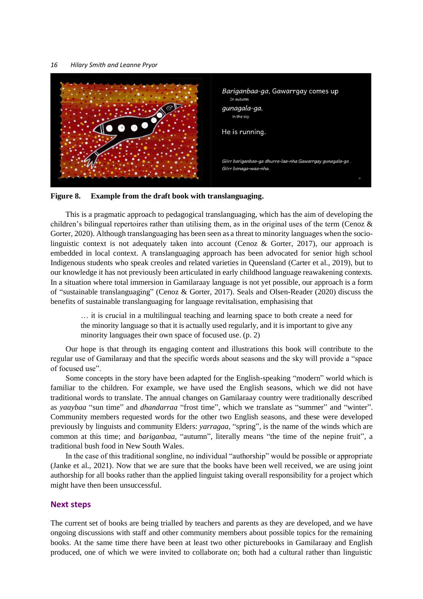



This is a pragmatic approach to pedagogical translanguaging, which has the aim of developing the children's bilingual repertoires rather than utilising them, as in the original uses of the term (Cenoz  $\&$ Gorter, 2020). Although translanguaging has been seen as a threat to minority languages when the sociolinguistic context is not adequately taken into account (Cenoz & Gorter, 2017), our approach is embedded in local context. A translanguaging approach has been advocated for senior high school Indigenous students who speak creoles and related varieties in Queensland (Carter et al., 2019), but to our knowledge it has not previously been articulated in early childhood language reawakening contexts. In a situation where total immersion in Gamilaraay language is not yet possible, our approach is a form of "sustainable translanguaging" (Cenoz & Gorter, 2017). Seals and Olsen-Reader (2020) discuss the benefits of sustainable translanguaging for language revitalisation, emphasising that

… it is crucial in a multilingual teaching and learning space to both create a need for the minority language so that it is actually used regularly, and it is important to give any minority languages their own space of focused use. (p. 2)

Our hope is that through its engaging content and illustrations this book will contribute to the regular use of Gamilaraay and that the specific words about seasons and the sky will provide a "space of focused use".

Some concepts in the story have been adapted for the English-speaking "modern" world which is familiar to the children. For example, we have used the English seasons, which we did not have traditional words to translate. The annual changes on Gamilaraay country were traditionally described as *yaaybaa* "sun time" and *dhandarraa* "frost time", which we translate as "summer" and "winter". Community members requested words for the other two English seasons, and these were developed previously by linguists and community Elders: *yarragaa*, "spring", is the name of the winds which are common at this time; and *bariganbaa*, "autumn", literally means "the time of the nepine fruit", a traditional bush food in New South Wales.

In the case of this traditional songline, no individual "authorship" would be possible or appropriate (Janke et al., 2021). Now that we are sure that the books have been well received, we are using joint authorship for all books rather than the applied linguist taking overall responsibility for a project which might have then been unsuccessful.

#### **Next steps**

The current set of books are being trialled by teachers and parents as they are developed, and we have ongoing discussions with staff and other community members about possible topics for the remaining books. At the same time there have been at least two other picturebooks in Gamilaraay and English produced, one of which we were invited to collaborate on; both had a cultural rather than linguistic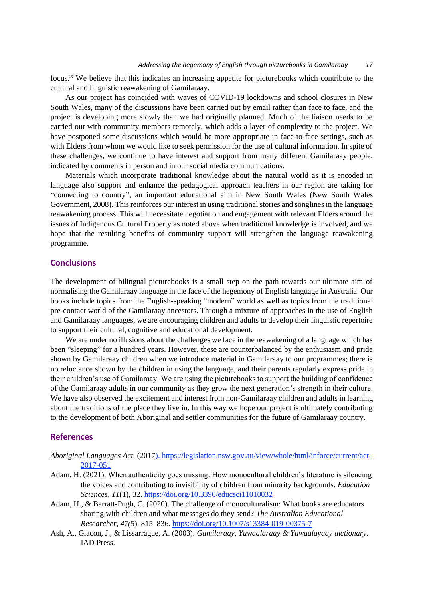focus.<sup>ix</sup> We believe that this indicates an increasing appetite for picturebooks which contribute to the cultural and linguistic reawakening of Gamilaraay.

As our project has coincided with waves of COVID-19 lockdowns and school closures in New South Wales, many of the discussions have been carried out by email rather than face to face, and the project is developing more slowly than we had originally planned. Much of the liaison needs to be carried out with community members remotely, which adds a layer of complexity to the project. We have postponed some discussions which would be more appropriate in face-to-face settings, such as with Elders from whom we would like to seek permission for the use of cultural information. In spite of these challenges, we continue to have interest and support from many different Gamilaraay people, indicated by comments in person and in our social media communications.

Materials which incorporate traditional knowledge about the natural world as it is encoded in language also support and enhance the pedagogical approach teachers in our region are taking for "connecting to country", an important educational aim in New South Wales (New South Wales Government, 2008). This reinforces our interest in using traditional stories and songlines in the language reawakening process. This will necessitate negotiation and engagement with relevant Elders around the issues of Indigenous Cultural Property as noted above when traditional knowledge is involved, and we hope that the resulting benefits of community support will strengthen the language reawakening programme.

### **Conclusions**

The development of bilingual picturebooks is a small step on the path towards our ultimate aim of normalising the Gamilaraay language in the face of the hegemony of English language in Australia. Our books include topics from the English-speaking "modern" world as well as topics from the traditional pre-contact world of the Gamilaraay ancestors. Through a mixture of approaches in the use of English and Gamilaraay languages, we are encouraging children and adults to develop their linguistic repertoire to support their cultural, cognitive and educational development.

We are under no illusions about the challenges we face in the reawakening of a language which has been "sleeping" for a hundred years. However, these are counterbalanced by the enthusiasm and pride shown by Gamilaraay children when we introduce material in Gamilaraay to our programmes; there is no reluctance shown by the children in using the language, and their parents regularly express pride in their children's use of Gamilaraay. We are using the picturebooks to support the building of confidence of the Gamilaraay adults in our community as they grow the next generation's strength in their culture. We have also observed the excitement and interest from non-Gamilaraay children and adults in learning about the traditions of the place they live in. In this way we hope our project is ultimately contributing to the development of both Aboriginal and settler communities for the future of Gamilaraay country.

### **References**

- *Aboriginal Languages Act*. (2017)[. https://legislation.nsw.gov.au/view/whole/html/inforce/current/act-](https://legislation.nsw.gov.au/view/whole/html/inforce/current/act-2017-051)[2017-051](https://legislation.nsw.gov.au/view/whole/html/inforce/current/act-2017-051)
- Adam, H. (2021). When authenticity goes missing: How monocultural children's literature is silencing the voices and contributing to invisibility of children from minority backgrounds. *Education Sciences, 11*(1), 32[. https://doi.org/10.3390/educsci11010032](https://doi.org/10.3390/educsci11010032)
- Adam, H., & Barratt-Pugh, C. (2020). The challenge of monoculturalism: What books are educators sharing with children and what messages do they send? *The Australian Educational Researcher, 47(*5), 815–836.<https://doi.org/10.1007/s13384-019-00375-7>
- Ash, A., Giacon, J., & Lissarrague, A. (2003). *Gamilaraay, Yuwaalaraay & Yuwaalayaay dictionary.*  IAD Press.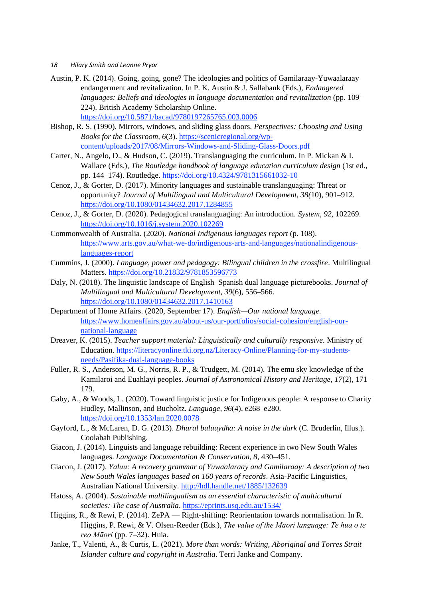- *18 Hilary Smith and Leanne Pryor*
- Austin, P. K. (2014). Going, going, gone? The ideologies and politics of Gamilaraay-Yuwaalaraay endangerment and revitalization. In P. K. Austin & J. Sallabank (Eds.), *Endangered languages: Beliefs and ideologies in language documentation and revitalization* (pp. 109– 224). British Academy Scholarship Online. <https://doi.org/10.5871/bacad/9780197265765.003.0006>
- Bishop, R. S. (1990). Mirrors, windows, and sliding glass doors*. Perspectives: Choosing and Using Books for the Classroom, 6*(3). [https://scenicregional.org/wp](https://scenicregional.org/wp-content/uploads/2017/08/Mirrors-Windows-and-Sliding-Glass-Doors.pdf)[content/uploads/2017/08/Mirrors-Windows-and-Sliding-Glass-Doors.pdf](https://scenicregional.org/wp-content/uploads/2017/08/Mirrors-Windows-and-Sliding-Glass-Doors.pdf)
- Carter, N., Angelo, D., & Hudson, C. (2019). Translanguaging the curriculum. In P. Mickan & I. Wallace (Eds.), *The Routledge handbook of language education curriculum design* (1st ed., pp. 144–174). Routledge.<https://doi.org/10.4324/9781315661032-10>
- Cenoz, J., & Gorter, D. (2017). Minority languages and sustainable translanguaging: Threat or opportunity? *Journal of Multilingual and Multicultural Development, 38(*10), 901–912. <https://doi.org/10.1080/01434632.2017.1284855>
- Cenoz, J., & Gorter, D. (2020). Pedagogical translanguaging: An introduction. *System, 92*, 102269. <https://doi.org/10.1016/j.system.2020.102269>
- Commonwealth of Australia. (2020). *National Indigenous languages report* (p. 108). [https://www.arts.gov.au/what-we-do/indigenous-arts-and-languages/nationalindigenous](https://www.arts.gov.au/what-we-do/indigenous-arts-and-languages/nationalindigenous-%20languages-report)[languages-report](https://www.arts.gov.au/what-we-do/indigenous-arts-and-languages/nationalindigenous-%20languages-report)
- Cummins, J. (2000). *Language, power and pedagogy: Bilingual children in the crossfire*. Multilingual Matters[. https://doi.org/10.21832/9781853596773](https://doi.org/10.21832/9781853596773)
- Daly, N. (2018). The linguistic landscape of English–Spanish dual language picturebooks. *Journal of Multilingual and Multicultural Development, 39*(6), 556–566. <https://doi.org/10.1080/01434632.2017.1410163>
- Department of Home Affairs. (2020, September 17). *English—Our national language.*  [https://www.homeaffairs.gov.au/about-us/our-portfolios/social-cohesion/english-our](https://www.homeaffairs.gov.au/about-us/our-portfolios/social-cohesion/english-our-national-language)[national-language](https://www.homeaffairs.gov.au/about-us/our-portfolios/social-cohesion/english-our-national-language)
- Dreaver, K. (2015). *Teacher support material: Linguistically and culturally responsive.* Ministry of Education[. https://literacyonline.tki.org.nz/Literacy-Online/Planning-for-my-students](https://literacyonline.tki.org.nz/Literacy-Online/Planning-for-my-students-needs/Pasifika-dual-language-books)[needs/Pasifika-dual-language-books](https://literacyonline.tki.org.nz/Literacy-Online/Planning-for-my-students-needs/Pasifika-dual-language-books)
- Fuller, R. S., Anderson, M. G., Norris, R. P., & Trudgett, M. (2014). The emu sky knowledge of the Kamilaroi and Euahlayi peoples. *Journal of Astronomical History and Heritage, 17*(2), 171– 179.
- Gaby, A., & Woods, L. (2020). Toward linguistic justice for Indigenous people: A response to Charity Hudley, Mallinson, and Bucholtz. *Language, 96*(4), e268–e280. <https://doi.org/10.1353/lan.2020.0078>
- Gayford, L., & McLaren, D. G. (2013). *Dhural buluuydha: A noise in the dark* (C. Bruderlin, Illus.). Coolabah Publishing.
- Giacon, J. (2014). Linguists and language rebuilding: Recent experience in two New South Wales languages. *Language Documentation & Conservation, 8*, 430–451.
- Giacon, J. (2017). *Yaluu: A recovery grammar of Yuwaalaraay and Gamilaraay: A description of two New South Wales languages based on 160 years of records*. Asia-Pacific Linguistics, Australian National University.<http://hdl.handle.net/1885/132639>
- Hatoss, A. (2004). *Sustainable multilingualism as an essential characteristic of multicultural societies: The case of Australia*.<https://eprints.usq.edu.au/1534/>
- Higgins, R., & Rewi, P. (2014). ZePA Right-shifting: Reorientation towards normalisation. In R. Higgins, P. Rewi, & V. Olsen-Reeder (Eds.), *The value of the Māori language: Te hua o te reo Māori* (pp. 7–32). Huia.
- Janke, T., Valenti, A., & Curtis, L. (2021). *More than words: Writing, Aboriginal and Torres Strait Islander culture and copyright in Australia*. Terri Janke and Company.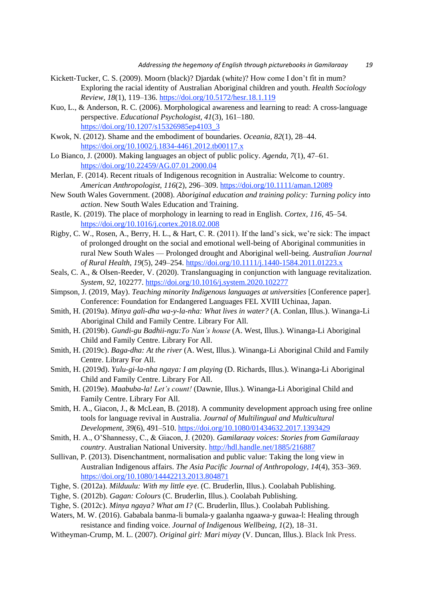- Kickett-Tucker, C. S. (2009). Moorn (black)? Djardak (white)? How come I don't fit in mum? Exploring the racial identity of Australian Aboriginal children and youth. *Health Sociology Review, 18*(1), 119–136.<https://doi.org/10.5172/hesr.18.1.119>
- Kuo, L., & Anderson, R. C. (2006). Morphological awareness and learning to read: A cross-language perspective. *Educational Psychologist, 41*(3), 161–180. [https://doi.org/10.1207/s15326985ep4103\\_3](https://doi.org/10.1207/s15326985ep4103_3)
- Kwok, N. (2012). Shame and the embodiment of boundaries. *Oceania, 82*(1), 28–44. <https://doi.org/10.1002/j.1834-4461.2012.tb00117.x>
- Lo Bianco, J. (2000). Making languages an object of public policy. *Agenda, 7*(1), 47–61. <https://doi.org/10.22459/AG.07.01.2000.04>
- Merlan, F. (2014). Recent rituals of Indigenous recognition in Australia: Welcome to country. *American Anthropologist, 116*(2), 296–309.<https://doi.org/10.1111/aman.12089>
- New South Wales Government. (2008). *Aboriginal education and training policy: Turning policy into action*. New South Wales Education and Training.
- Rastle, K. (2019). The place of morphology in learning to read in English. *Cortex, 116*, 45–54. <https://doi.org/10.1016/j.cortex.2018.02.008>
- Rigby, C. W., Rosen, A., Berry, H. L., & Hart, C. R. (2011). If the land's sick, we're sick: The impact of prolonged drought on the social and emotional well-being of Aboriginal communities in rural New South Wales — Prolonged drought and Aboriginal well-being. *Australian Journal of Rural Health, 19*(5), 249–254.<https://doi.org/10.1111/j.1440-1584.2011.01223.x>
- Seals, C. A., & Olsen-Reeder, V. (2020). Translanguaging in conjunction with language revitalization. *System, 92*, 102277[. https://doi.org/10.1016/j.system.2020.102277](https://doi.org/10.1016/j.system.2020.102277)
- Simpson, J. (2019, May). *Teaching minority Indigenous languages at universities* [Conference paper]. Conference: Foundation for Endangered Languages FEL XVIII Uchinaa, Japan.
- Smith, H. (2019a). *Minya gali-dha wa-y-la-nha: What lives in water?* (A. Conlan, Illus.). Winanga-Li Aboriginal Child and Family Centre. Library For All.
- Smith, H. (2019b). *Gundi-gu Badhii-ngu:To Nan's house* (A. West, Illus.)*.* Winanga-Li Aboriginal Child and Family Centre. Library For All.
- Smith, H. (2019c). *Baga-dha: At the river* (A. West, Illus.)*.* Winanga-Li Aboriginal Child and Family Centre. Library For All.
- Smith, H. (2019d). *Yulu-gi-la-nha ngaya: I am playing* (D. Richards, Illus.). Winanga-Li Aboriginal Child and Family Centre. Library For All.
- Smith, H. (2019e). *Maabuba-la! Let's count!* (Dawnie, Illus.). Winanga-Li Aboriginal Child and Family Centre. Library For All.
- Smith, H. A., Giacon, J., & McLean, B. (2018). A community development approach using free online tools for language revival in Australia. *Journal of Multilingual and Multicultural Development, 39*(6), 491–510.<https://doi.org/10.1080/01434632.2017.1393429>
- Smith, H. A., O'Shannessy, C., & Giacon, J. (2020). *Gamilaraay voices: Stories from Gamilaraay country*. Australian National University.<http://hdl.handle.net/1885/216887>
- Sullivan, P. (2013). Disenchantment, normalisation and public value: Taking the long view in Australian Indigenous affairs. *The Asia Pacific Journal of Anthropology, 14*(4), 353–369. <https://doi.org/10.1080/14442213.2013.804871>
- Tighe, S. (2012a). *Milduulu: With my little eye.* (C. Bruderlin, Illus.). Coolabah Publishing.
- Tighe, S. (2012b). *Gagan: Colours* (C. Bruderlin, Illus.). Coolabah Publishing.
- Tighe, S. (2012c). *Minya ngaya? What am I?* (C. Bruderlin, Illus.). Coolabah Publishing.
- Waters, M. W. (2016). Gababala banma-li bumala-y gaalanha ngaawa-y guwaa-l: Healing through resistance and finding voice. *Journal of Indigenous Wellbeing, 1*(2), 18–31.
- Witheyman-Crump, M. L. (2007). *Original girl: Mari miyay* (V. Duncan, Illus.). Black Ink Press.